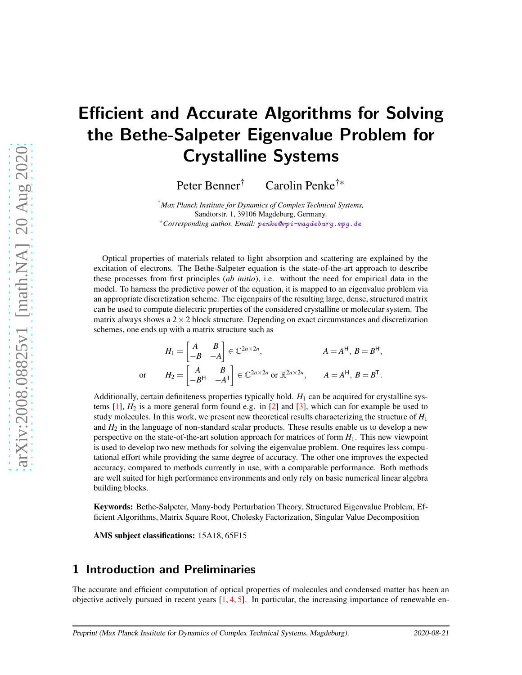# Efficient and Accurate Algorithms for Solving the Bethe-Salpeter Eigenvalue Problem for Crystalline Systems

Peter Benner<sup>†</sup> Carolin Penke<sup>†</sup>\*

†*Max Planck Institute for Dynamics of Complex Technical Systems,* Sandtorstr. 1, 39106 Magdeburg, Germany. ∗*Corresponding author. Email:* [penke@mpi-magdeburg.mpg.de](mailto:penke@mpi-magdeburg.mpg.de)

Optical properties of materials related to light absorption and scattering are explained by the excitation of electrons. The Bethe-Salpeter equation is the state-of-the-art approach to describe these processes from first principles (*ab initio*), i.e. without the need for empirical data in the model. To harness the predictive power of the equation, it is mapped to an eigenvalue problem via an appropriate discretization scheme. The eigenpairs of the resulting large, dense, structured matrix can be used to compute dielectric properties of the considered crystalline or molecular system. The matrix always shows a  $2 \times 2$  block structure. Depending on exact circumstances and discretization schemes, one ends up with a matrix structure such as

$$
H_1 = \begin{bmatrix} A & B \\ -B & -A \end{bmatrix} \in \mathbb{C}^{2n \times 2n}, \qquad A = A^{\mathsf{H}}, B = B^{\mathsf{H}},
$$
  
or 
$$
H_2 = \begin{bmatrix} A & B \\ -B^{\mathsf{H}} & -A^{\mathsf{T}} \end{bmatrix} \in \mathbb{C}^{2n \times 2n} \text{ or } \mathbb{R}^{2n \times 2n}, \qquad A = A^{\mathsf{H}}, B = B^{\mathsf{T}}.
$$

Additionally, certain definiteness properties typically hold.  $H_1$  can be acquired for crystalline systems  $[1]$ ,  $H_2$  is a more general form found e.g. in  $[2]$  and  $[3]$ , which can for example be used to study molecules. In this work, we present new theoretical results characterizing the structure of  $H_1$ and  $H_2$  in the language of non-standard scalar products. These results enable us to develop a new perspective on the state-of-the-art solution approach for matrices of form *H*1. This new viewpoint is used to develop two new methods for solving the eigenvalue problem. One requires less computational effort while providing the same degree of accuracy. The other one improves the expected accuracy, compared to methods currently in use, with a comparable performance. Both methods are well suited for high performance environments and only rely on basic numerical linear algebra building blocks.

Keywords: Bethe-Salpeter, Many-body Perturbation Theory, Structured Eigenvalue Problem, Efficient Algorithms, Matrix Square Root, Cholesky Factorization, Singular Value Decomposition

AMS subject classifications: 15A18, 65F15

## 1 Introduction and Preliminaries

The accurate and efficient computation of optical properties of molecules and condensed matter has been an objective actively pursued in recent years  $[1, 4, 5]$  $[1, 4, 5]$  $[1, 4, 5]$  $[1, 4, 5]$ . In particular, the increasing importance of renewable en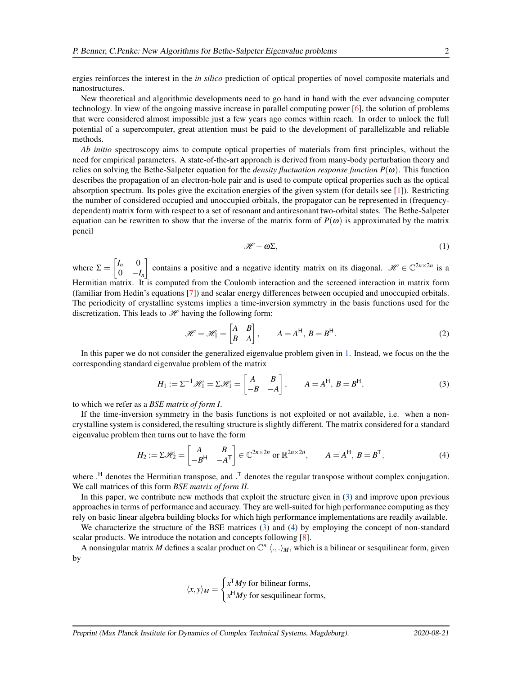ergies reinforces the interest in the *in silico* prediction of optical properties of novel composite materials and nanostructures.

New theoretical and algorithmic developments need to go hand in hand with the ever advancing computer technology. In view of the ongoing massive increase in parallel computing power [\[6\]](#page-15-5), the solution of problems that were considered almost impossible just a few years ago comes within reach. In order to unlock the full potential of a supercomputer, great attention must be paid to the development of parallelizable and reliable methods.

*Ab initio* spectroscopy aims to compute optical properties of materials from first principles, without the need for empirical parameters. A state-of-the-art approach is derived from many-body perturbation theory and relies on solving the Bethe-Salpeter equation for the *density fluctuation response function P(* $\omega$ *)*. This function describes the propagation of an electron-hole pair and is used to compute optical properties such as the optical absorption spectrum. Its poles give the excitation energies of the given system (for details see [\[1\]](#page-15-0)). Restricting the number of considered occupied and unoccupied orbitals, the propagator can be represented in (frequencydependent) matrix form with respect to a set of resonant and antiresonant two-orbital states. The Bethe-Salpeter equation can be rewritten to show that the inverse of the matrix form of  $P(\omega)$  is approximated by the matrix pencil

<span id="page-1-1"></span><span id="page-1-0"></span>
$$
\mathcal{H} - \omega \Sigma, \tag{1}
$$

where  $\Sigma = \begin{bmatrix} I_n & 0 \\ 0 & 0 \end{bmatrix}$  $0 \t -I_n$ contains a positive and a negative identity matrix on its diagonal.  $\mathcal{H} \in \mathbb{C}^{2n \times 2n}$  is a Hermitian matrix. It is computed from the Coulomb interaction and the screened interaction in matrix form (familiar from Hedin's equations [\[7\]](#page-15-6)) and scalar energy differences between occupied and unoccupied orbitals. The periodicity of crystalline systems implies a time-inversion symmetry in the basis functions used for the discretization. This leads to  $\mathcal{H}$  having the following form:

<span id="page-1-2"></span>
$$
\mathcal{H} = \mathcal{H}_1 = \begin{bmatrix} A & B \\ B & A \end{bmatrix}, \qquad A = A^{\mathsf{H}}, \ B = B^{\mathsf{H}}.
$$
\n<sup>(2)</sup>

In this paper we do not consider the generalized eigenvalue problem given in [1.](#page-1-0) Instead, we focus on the the corresponding standard eigenvalue problem of the matrix

$$
H_1 := \Sigma^{-1} \mathcal{H}_1 = \Sigma \mathcal{H}_1 = \begin{bmatrix} A & B \\ -B & -A \end{bmatrix}, \qquad A = A^{\mathsf{H}}, \ B = B^{\mathsf{H}}, \tag{3}
$$

to which we refer as a *BSE matrix of form I*.

If the time-inversion symmetry in the basis functions is not exploited or not available, i.e. when a noncrystalline system is considered, the resulting structure is slightly different. The matrix considered for a standard eigenvalue problem then turns out to have the form

$$
H_2 := \Sigma \mathcal{H}_2 = \begin{bmatrix} A & B \\ -B^H & -A^T \end{bmatrix} \in \mathbb{C}^{2n \times 2n} \text{ or } \mathbb{R}^{2n \times 2n}, \qquad A = A^H, B = B^T,
$$
 (4)

where .<sup>H</sup> denotes the Hermitian transpose, and .<sup>T</sup> denotes the regular transpose without complex conjugation. We call matrices of this form *BSE matrix of form II*.

In this paper, we contribute new methods that exploit the structure given in [\(3\)](#page-1-1) and improve upon previous approaches in terms of performance and accuracy. They are well-suited for high performance computing as they rely on basic linear algebra building blocks for which high performance implementations are readily available.

We characterize the structure of the BSE matrices [\(3\)](#page-1-1) and [\(4\)](#page-1-2) by employing the concept of non-standard scalar products. We introduce the notation and concepts following [\[8\]](#page-15-7).

A nonsingular matrix M defines a scalar product on  $\mathbb{C}^n \langle \cdot, \cdot \rangle_M$ , which is a bilinear or sesquilinear form, given by

$$
\langle x, y \rangle_M = \begin{cases} x^{\mathsf{T}} My \text{ for bilinear forms,} \\ x^{\mathsf{H}} My \text{ for sesquilinear forms,} \end{cases}
$$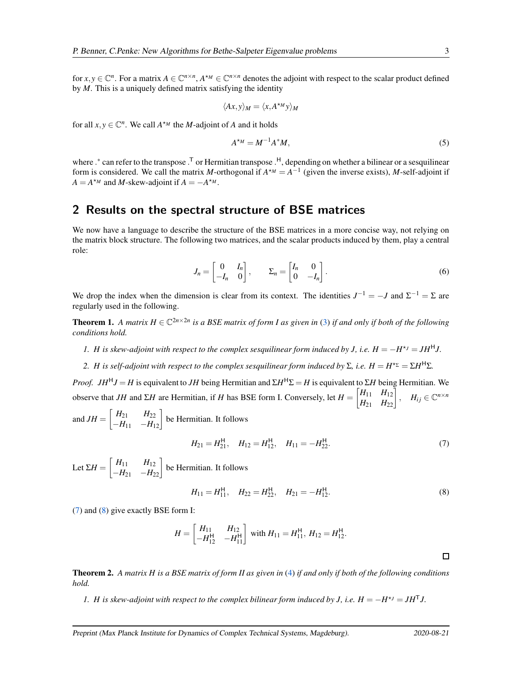for  $x, y \in \mathbb{C}^n$ . For a matrix  $A \in \mathbb{C}^{n \times n}$ ,  $A^{\star M} \in \mathbb{C}^{n \times n}$  denotes the adjoint with respect to the scalar product defined by *M*. This is a uniquely defined matrix satisfying the identity

$$
\langle Ax, y \rangle_M = \langle x, A^{\star_M} y \rangle_M
$$

for all  $x, y \in \mathbb{C}^n$ . We call  $A^{\star M}$  the *M*-adjoint of *A* and it holds

$$
A^{\star M} = M^{-1}A^{\star}M,\tag{5}
$$

where .\* can refer to the transpose .<sup>T</sup> or Hermitian transpose .<sup>H</sup>, depending on whether a bilinear or a sesquilinear form is considered. We call the matrix *M*-orthogonal if  $A^{*M} = A^{-1}$  (given the inverse exists), *M*-self-adjoint if  $A = A^{\star M}$  and *M*-skew-adjoint if  $A = -A^{\star M}$ .

## <span id="page-2-4"></span>2 Results on the spectral structure of BSE matrices

We now have a language to describe the structure of the BSE matrices in a more concise way, not relying on the matrix block structure. The following two matrices, and the scalar products induced by them, play a central role:

$$
J_n = \begin{bmatrix} 0 & I_n \\ -I_n & 0 \end{bmatrix}, \qquad \Sigma_n = \begin{bmatrix} I_n & 0 \\ 0 & -I_n \end{bmatrix}.
$$
 (6)

<span id="page-2-2"></span>We drop the index when the dimension is clear from its context. The identities  $J^{-1} = -J$  and  $\Sigma^{-1} = \Sigma$  are regularly used in the following.

**Theorem 1.** A matrix  $H \in \mathbb{C}^{2n \times 2n}$  is a BSE matrix of form I as given in [\(3\)](#page-1-1) if and only if both of the following *conditions hold.*

*1. H* is skew-adjoint with respect to the complex sesquilinear form induced by *J*, i.e.  $H = -H^{\star}$ <sup>*J*</sup> =  $JH^H$ *J*.

*2. H* is self-adjoint with respect to the complex sesquilinear form induced by Σ, i.e.  $H = H^{\star_{\Sigma}} = \Sigma H^{\star_{\Sigma}}$ .

*Proof.*  $JH^HJ = H$  is equivalent to *JH* being Hermitian and  $\Sigma H^H \Sigma = H$  is equivalent to  $\Sigma H$  being Hermitian. We observe that *JH* and  $\Sigma H$  are Hermitian, if *H* has BSE form I. Conversely, let  $H = \begin{bmatrix} H_{11} & H_{12} \\ H_{21} & H_{22} \end{bmatrix}$ ,  $H_{ij} \in \mathbb{C}^{n \times n}$ 

and  $JH = \begin{bmatrix} H_{21} & H_{22} \\ -H_{11} & -H_{12} \end{bmatrix}$  be Hermitian. It follows

<span id="page-2-0"></span>
$$
H_{21} = H_{21}^{\mathsf{H}}, \quad H_{12} = H_{12}^{\mathsf{H}}, \quad H_{11} = -H_{22}^{\mathsf{H}}.
$$
 (7)

Let  $\Sigma H = \begin{bmatrix} H_{11} & H_{12} \\ -H_{21} & -H_{22} \end{bmatrix}$  be Hermitian. It follows

<span id="page-2-1"></span>
$$
H_{11} = H_{11}^{\mathsf{H}}, \quad H_{22} = H_{22}^{\mathsf{H}}, \quad H_{21} = -H_{12}^{\mathsf{H}}.
$$
 (8)

[\(7\)](#page-2-0) and [\(8\)](#page-2-1) give exactly BSE form I:

$$
H = \begin{bmatrix} H_{11} & H_{12} \\ -H_{12}^{\mathsf{H}} & -H_{11}^{\mathsf{H}} \end{bmatrix} \text{ with } H_{11} = H_{11}^{\mathsf{H}}, H_{12} = H_{12}^{\mathsf{H}}.
$$

<span id="page-2-3"></span>Theorem 2. *A matrix H is a BSE matrix of form II as given in* [\(4\)](#page-1-2) *if and only if both of the following conditions hold.*

*1. H is skew-adjoint with respect to the complex bilinear form induced by J, i.e.*  $H = -H^{\star} = JH^{T}J$ *.*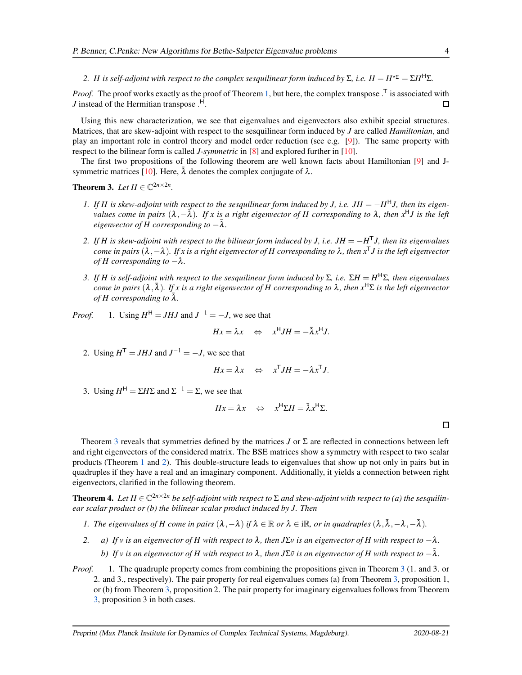*2. H* is self-adjoint with respect to the complex sesquilinear form induced by Σ, i.e.  $H = H^{\star_{\Sigma}} = \Sigma H^{\star_{\Sigma}}$ .

*Proof.* The proof works exactly as the proof of Theorem [1,](#page-2-2) but here, the complex transpose .<sup>T</sup> is associated with *J* instead of the Hermitian transpose .<sup>H</sup>.  $\Box$ 

Using this new characterization, we see that eigenvalues and eigenvectors also exhibit special structures. Matrices, that are skew-adjoint with respect to the sesquilinear form induced by *J* are called *Hamiltonian*, and play an important role in control theory and model order reduction (see e.g. [\[9\]](#page-15-8)). The same property with respect to the bilinear form is called *J-symmetric* in [\[8\]](#page-15-7) and explored further in [\[10\]](#page-15-9).

<span id="page-3-0"></span>The first two propositions of the following theorem are well known facts about Hamiltonian [\[9\]](#page-15-8) and J-symmetric matrices [\[10\]](#page-15-9). Here,  $\bar{\lambda}$  denotes the complex conjugate of  $\lambda$ .

**Theorem 3.** *Let*  $H \in \mathbb{C}^{2n \times 2n}$ .

- *1.* If *H* is skew-adjoint with respect to the sesquilinear form induced by *J*, i.e.  $JH = -H^H J$ , then its eigen*values come in pairs*  $(\lambda, -\overline{\lambda})$ *. If x is a right eigenvector of H corresponding to*  $\lambda$ *, then*  $x^H J$  *is the left eigenvector of H corresponding to*  $-\bar{\lambda}$ *.*
- *2. If H is skew-adjoint with respect to the bilinear form induced by J, i.e. JH* = −*H* <sup>T</sup>*J, then its eigenvalues come in pairs* (λ,−λ)*. If x is a right eigenvector of H corresponding to* <sup>λ</sup>*, then x*<sup>T</sup>*J is the left eigenvector of H corresponding to*  $-\lambda$ .
- *3. If H is self-adjoint with respect to the sesquilinear form induced by* Σ*, i.e.* Σ*H* = *H* <sup>H</sup>Σ*, then eigenvalues come in pairs* (λ, ¯λ)*. If x is a right eigenvector of H corresponding to* <sup>λ</sup>*, then x*<sup>H</sup>Σ *is the left eigenvector of H corresponding to*  $\lambda$ .

*Proof.* 1. Using  $H^H = JHJ$  and  $J^{-1} = -J$ , we see that

$$
Hx = \lambda x \quad \Leftrightarrow \quad x^{\mathsf{H}} JH = -\bar{\lambda} x^{\mathsf{H}} J.
$$

2. Using  $H^{\mathsf{T}} = JHJ$  and  $J^{-1} = -J$ , we see that

$$
Hx = \lambda x \quad \Leftrightarrow \quad x^{\mathsf{T}} JH = -\lambda x^{\mathsf{T}} J.
$$

3. Using  $H^H = \Sigma H \Sigma$  and  $\Sigma^{-1} = \Sigma$ , we see that

$$
Hx = \lambda x \quad \Leftrightarrow \quad x^{\mathsf{H}} \Sigma H = \bar{\lambda} x^{\mathsf{H}} \Sigma.
$$

Theorem [3](#page-3-0) reveals that symmetries defined by the matrices *J* or Σ are reflected in connections between left and right eigenvectors of the considered matrix. The BSE matrices show a symmetry with respect to two scalar products (Theorem [1](#page-2-2) and [2\)](#page-2-3). This double-structure leads to eigenvalues that show up not only in pairs but in quadruples if they have a real and an imaginary component. Additionally, it yields a connection between right eigenvectors, clarified in the following theorem.

**Theorem 4.** Let  $H \in \mathbb{C}^{2n \times 2n}$  be self-adjoint with respect to  $\Sigma$  and skew-adjoint with respect to (a) the sesquilin*ear scalar product or (b) the bilinear scalar product induced by J. Then*

- *1. The eigenvalues of H come in pairs*  $(\lambda, -\lambda)$  *if*  $\lambda \in \mathbb{R}$  *or*  $\lambda \in i\mathbb{R}$ *, or in quadruples*  $(\lambda, \bar{\lambda}, -\lambda, -\bar{\lambda})$ *.*
- *2. a) If v is an eigenvector of H with respect to* <sup>λ</sup>*, then J*Σ*v is an eigenvector of H with respect to* −λ*. b)* If v is an eigenvector of H with respect to  $\lambda$ , then J $\Sigma \bar{\nu}$  is an eigenvector of H with respect to  $-\bar{\lambda}$ .
- *Proof.* 1. The quadruple property comes from combining the propositions given in Theorem [3](#page-3-0) (1. and 3. or 2. and 3., respectively). The pair property for real eigenvalues comes (a) from Theorem [3,](#page-3-0) proposition 1, or (b) from Theorem [3,](#page-3-0) proposition 2. The pair property for imaginary eigenvalues follows from Theorem [3,](#page-3-0) proposition 3 in both cases.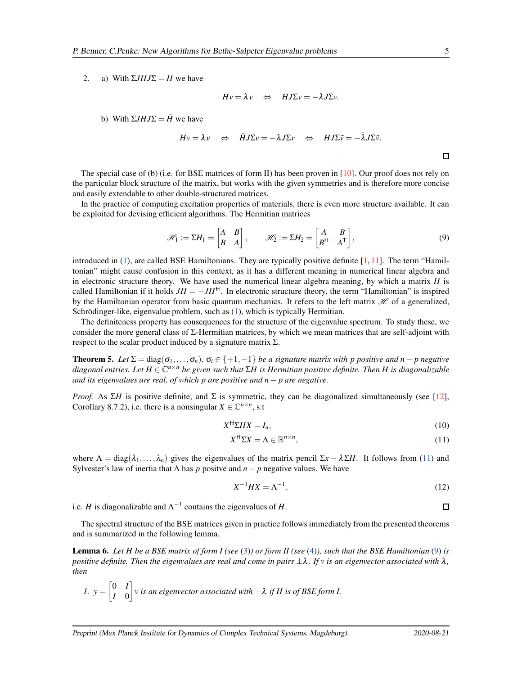2. a) With  $\Sigma J H J \Sigma = H$  we have

$$
Hv = \lambda v \quad \Leftrightarrow \quad HJ\Sigma v = -\lambda J\Sigma v.
$$

b) With  $\Sigma I H J \Sigma = \overline{H}$  we have

$$
Hv = \lambda v \Leftrightarrow \bar{H}J\Sigma v = -\lambda J\Sigma v \Leftrightarrow HJ\Sigma \bar{v} = -\bar{\lambda}J\Sigma \bar{v}.
$$

<span id="page-4-1"></span> $\Box$ 

The special case of (b) (i.e. for BSE matrices of form II) has been proven in [\[10\]](#page-15-9). Our proof does not rely on the particular block structure of the matrix, but works with the given symmetries and is therefore more concise and easily extendable to other double-structured matrices.

In the practice of computing excitation properties of materials, there is even more structure available. It can be exploited for devising efficient algorithms. The Hermitian matrices

$$
\mathscr{H}_1 := \Sigma H_1 = \begin{bmatrix} A & B \\ B & A \end{bmatrix}, \qquad \mathscr{H}_2 := \Sigma H_2 = \begin{bmatrix} A & B \\ B^H & A^T \end{bmatrix}, \tag{9}
$$

introduced in [\(1\)](#page-1-0), are called BSE Hamiltonians. They are typically positive definite [\[1,](#page-15-0) [11\]](#page-15-10). The term "Hamiltonian" might cause confusion in this context, as it has a different meaning in numerical linear algebra and in electronic structure theory. We have used the numerical linear algebra meaning, by which a matrix *H* is called Hamiltonian if it holds  $JH = -JH^H$ . In electronic structure theory, the term "Hamiltonian" is inspired by the Hamiltonian operator from basic quantum mechanics. It refers to the left matrix  $\mathcal H$  of a generalized, Schrödinger-like, eigenvalue problem, such as  $(1)$ , which is typically Hermitian.

The definiteness property has consequences for the structure of the eigenvalue spectrum. To study these, we consider the more general class of  $\Sigma$ -Hermitian matrices, by which we mean matrices that are self-adjoint with respect to the scalar product induced by a signature matrix  $\Sigma$ .

<span id="page-4-2"></span>**Theorem 5.** Let  $\Sigma = \text{diag}(\sigma_1, \ldots, \sigma_n)$ ,  $\sigma_i \in \{+1, -1\}$  *be a signature matrix with p positive and n*− *p negative diagonal entries. Let H* <sup>∈</sup> <sup>C</sup> *<sup>n</sup>*×*<sup>n</sup> be given such that* Σ*H is Hermitian positive definite. Then H is diagonalizable and its eigenvalues are real, of which p are positive and n*− *p are negative.*

*Proof.* As  $\Sigma H$  is positive definite, and  $\Sigma$  is symmetric, they can be diagonalized simultaneously (see [\[12\]](#page-15-11), Corollary 8.7.2), i.e. there is a nonsingular  $X \in \mathbb{C}^{n \times n}$ , s.t.

$$
X^{\mathsf{H}} \Sigma H X = I_n,\tag{10}
$$

$$
X^{\mathsf{H}} \Sigma X = \Lambda \in \mathbb{R}^{n \times n},\tag{11}
$$

where  $\Lambda = \text{diag}(\lambda_1,\ldots,\lambda_n)$  gives the eigenvalues of the matrix pencil  $\Sigma x - \lambda \Sigma H$ . It follows from [\(11\)](#page-4-0) and Sylvester's law of inertia that  $\Lambda$  has p positve and  $n - p$  negative values. We have

<span id="page-4-0"></span>
$$
X^{-1}HX = \Lambda^{-1},\tag{12}
$$

i.e. *H* is diagonalizable and  $\Lambda^{-1}$  contains the eigenvalues of *H*.

<span id="page-4-3"></span>The spectral structure of the BSE matrices given in practice follows immediately from the presented theorems and is summarized in the following lemma.

Lemma 6. *Let H be a BSE matrix of form I (see* [\(3\)](#page-1-1)*) or form II (see* [\(4\)](#page-1-2)*), such that the BSE Hamiltonian* [\(9\)](#page-4-1) *is positive definite. Then the eigenvalues are real and come in pairs*  $\pm \lambda$ *. If v is an eigenvector associated with*  $\lambda$ *, then*

1. 
$$
y = \begin{bmatrix} 0 & I \\ I & 0 \end{bmatrix}
$$
 v is an eigenvector associated with  $-\lambda$  if H is of BSE form I,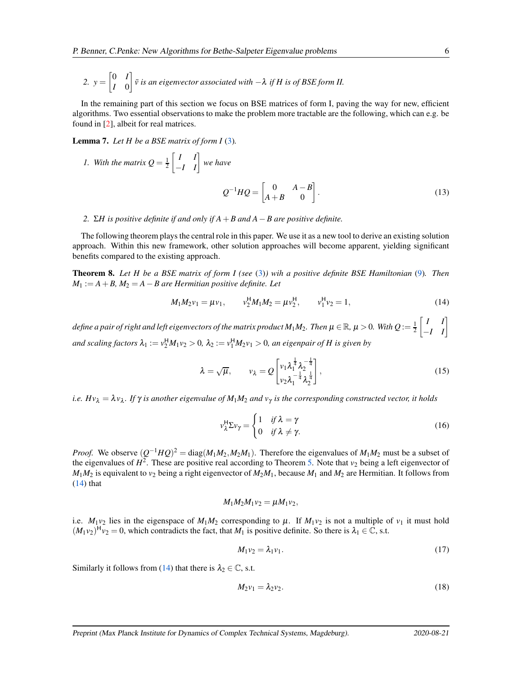2. 
$$
y = \begin{bmatrix} 0 & I \\ I & 0 \end{bmatrix}
$$
  $\bar{v}$  is an eigenvector associated with  $-\lambda$  if H is of BSE form II.

In the remaining part of this section we focus on BSE matrices of form I, paving the way for new, efficient algorithms. Two essential observations to make the problem more tractable are the following, which can e.g. be found in [\[2\]](#page-15-1), albeit for real matrices.

<span id="page-5-5"></span>Lemma 7. *Let H be a BSE matrix of form I* [\(3\)](#page-1-1)*.*

1. With the matrix 
$$
Q = \frac{1}{2} \begin{bmatrix} I & I \\ -I & I \end{bmatrix}
$$
 we have  
\n
$$
Q^{-1}HQ = \begin{bmatrix} 0 & A-B \\ A+B & 0 \end{bmatrix}.
$$
\n(13)

#### *2.* Σ*H is positive definite if and only if A*+*B and A*−*B are positive definite.*

The following theorem plays the central role in this paper. We use it as a new tool to derive an existing solution approach. Within this new framework, other solution approaches will become apparent, yielding significant benefits compared to the existing approach.

<span id="page-5-4"></span>Theorem 8. *Let H be a BSE matrix of form I (see* [\(3\)](#page-1-1)*) wih a positive definite BSE Hamiltonian* [\(9\)](#page-4-1)*. Then M*<sup>1</sup> := *A*+*B, M*<sup>2</sup> = *A*−*B are Hermitian positive definite. Let*

$$
M_1 M_2 \nu_1 = \mu \nu_1, \qquad \nu_2^H M_1 M_2 = \mu \nu_2^H, \qquad \nu_1^H \nu_2 = 1,
$$
\n(14)

define a pair of right and left eigenvectors of the matrix product  $M_1M_2$ . Then  $\mu\in\mathbb{R}$ ,  $\mu>$  0. With  $Q$  :=  $\frac{1}{2}$  $\begin{bmatrix} I & I \\ -I & I \end{bmatrix}$ *and scaling factors*  $\lambda_1 := v_2^H M_1 v_2 > 0$ ,  $\lambda_2 := v_1^H M_2 v_1 > 0$ , an eigenpair of H is given by

<span id="page-5-0"></span>
$$
\lambda = \sqrt{\mu}, \qquad v_{\lambda} = Q \begin{bmatrix} v_1 \lambda_1^{\frac{1}{4}} \lambda_2^{-\frac{1}{4}} \\ v_2 \lambda_1^{-\frac{1}{4}} \lambda_2^{\frac{1}{4}} \end{bmatrix}, \tag{15}
$$

*i.e. Hv*<sup>λ</sup> = λ*v*<sup>λ</sup> *. If* <sup>γ</sup> *is another eigenvalue of M*1*M*<sup>2</sup> *and v*<sup>γ</sup> *is the corresponding constructed vector, it holds*

<span id="page-5-6"></span><span id="page-5-3"></span>
$$
\nu_{\lambda}^{\mathsf{H}} \Sigma \nu_{\gamma} = \begin{cases} 1 & \text{if } \lambda = \gamma \\ 0 & \text{if } \lambda \neq \gamma. \end{cases} \tag{16}
$$

*Proof.* We observe  $(Q^{-1}HQ)^2 = \text{diag}(M_1M_2, M_2M_1)$ . Therefore the eigenvalues of  $M_1M_2$  must be a subset of the eigenvalues of  $H^2$ . These are positive real according to Theorem [5.](#page-4-2) Note that  $v_2$  being a left eigenvector of  $M_1M_2$  is equivalent to  $v_2$  being a right eigenvector of  $M_2M_1$ , because  $M_1$  and  $M_2$  are Hermitian. It follows from  $(14)$  that

$$
M_1M_2M_1v_2=\mu M_1v_2,
$$

i.e.  $M_1v_2$  lies in the eigenspace of  $M_1M_2$  corresponding to  $\mu$ . If  $M_1v_2$  is not a multiple of  $v_1$  it must hold  $(M_1v_2)^H v_2 = 0$ , which contradicts the fact, that  $M_1$  is positive definite. So there is  $\lambda_1 \in \mathbb{C}$ , s.t.

<span id="page-5-1"></span>
$$
M_1v_2 = \lambda_1v_1. \tag{17}
$$

Similarly it follows from [\(14\)](#page-5-0) that there is  $\lambda_2 \in \mathbb{C}$ , s.t.

<span id="page-5-2"></span>
$$
M_2v_1 = \lambda_2v_2. \tag{18}
$$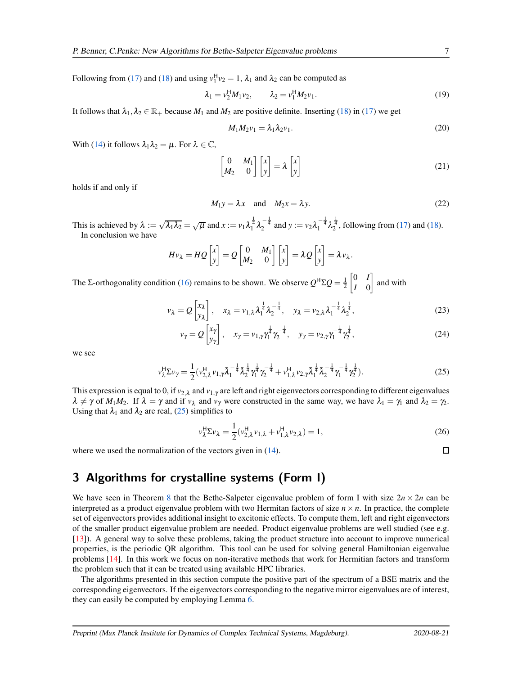Following from [\(17\)](#page-5-1) and [\(18\)](#page-5-2) and using  $v_1^H v_2 = 1$ ,  $\lambda_1$  and  $\lambda_2$  can be computed as

$$
\lambda_1 = v_2^H M_1 v_2, \qquad \lambda_2 = v_1^H M_2 v_1.
$$
 (19)

It follows that  $\lambda_1, \lambda_2 \in \mathbb{R}_+$  because  $M_1$  and  $M_2$  are positive definite. Inserting [\(18\)](#page-5-2) in [\(17\)](#page-5-1) we get

$$
M_1 M_2 v_1 = \lambda_1 \lambda_2 v_1. \tag{20}
$$

With [\(14\)](#page-5-0) it follows  $\lambda_1 \lambda_2 = \mu$ . For  $\lambda \in \mathbb{C}$ ,

$$
\begin{bmatrix} 0 & M_1 \\ M_2 & 0 \end{bmatrix} \begin{bmatrix} x \\ y \end{bmatrix} = \lambda \begin{bmatrix} x \\ y \end{bmatrix}
$$
 (21)

holds if and only if

$$
M_1 y = \lambda x \quad \text{and} \quad M_2 x = \lambda y. \tag{22}
$$

This is achieved by  $\lambda := \sqrt{\lambda_1 \lambda_2} = \sqrt{\mu}$  and  $x := v_1 \lambda_1^{\frac{1}{4}} \lambda_2^{-\frac{1}{4}}$  and  $y := v_2 \lambda_1^{-\frac{1}{4}} \lambda_2^{\frac{1}{4}}$ , following from [\(17\)](#page-5-1) and [\(18\)](#page-5-2). In conclusion we have

$$
Hv_{\lambda} = HQ\begin{bmatrix} x \\ y \end{bmatrix} = Q\begin{bmatrix} 0 & M_1 \\ M_2 & 0 \end{bmatrix} \begin{bmatrix} x \\ y \end{bmatrix} = \lambda Q\begin{bmatrix} x \\ y \end{bmatrix} = \lambda v_{\lambda}.
$$

The Σ-orthogonality condition [\(16\)](#page-5-3) remains to be shown. We observe  $Q^H \Sigma Q = \frac{1}{2}$  0 *I I* 0 and with

$$
v_{\lambda} = Q \begin{bmatrix} x_{\lambda} \\ y_{\lambda} \end{bmatrix}, \quad x_{\lambda} = v_{1,\lambda} \lambda_1^{\frac{1}{4}} \lambda_2^{-\frac{1}{4}}, \quad y_{\lambda} = v_{2,\lambda} \lambda_1^{-\frac{1}{4}} \lambda_2^{\frac{1}{4}}, \tag{23}
$$

$$
v_{\gamma} = Q \begin{bmatrix} x_{\gamma} \\ y_{\gamma} \end{bmatrix}, \quad x_{\gamma} = v_{1,\gamma} \gamma_1^{\frac{1}{4}} \gamma_2^{-\frac{1}{4}}, \quad y_{\gamma} = v_{2,\gamma} \gamma_1^{-\frac{1}{4}} \gamma_2^{\frac{1}{4}}, \tag{24}
$$

we see

$$
\nu_{\lambda}^{\mathsf{H}} \Sigma \nu_{\gamma} = \frac{1}{2} (\nu_{2,\lambda}^{\mathsf{H}} \nu_{1,\gamma} \bar{\lambda}_{1}^{-\frac{1}{4}} \bar{\lambda}_{2}^{\frac{1}{4}} \gamma_{1}^{\frac{1}{4}} \gamma_{2}^{-\frac{1}{4}} + \nu_{1,\lambda}^{\mathsf{H}} \nu_{2,\gamma} \bar{\lambda}_{1}^{\frac{1}{4}} \bar{\lambda}_{2}^{-\frac{1}{4}} \gamma_{1}^{-\frac{1}{4}} \gamma_{2}^{\frac{1}{4}} ). \tag{25}
$$

This expression is equal to 0, if  $v_{2,\lambda}$  and  $v_{1,\gamma}$  are left and right eigenvectors corresponding to different eigenvalues  $\lambda \neq \gamma$  of  $M_1M_2$ . If  $\lambda = \gamma$  and if  $v_\lambda$  and  $v_\gamma$  were constructed in the same way, we have  $\lambda_1 = \gamma_1$  and  $\lambda_2 = \gamma_2$ . Using that  $\lambda_1$  and  $\lambda_2$  are real, [\(25\)](#page-6-0) simplifies to

<span id="page-6-0"></span>
$$
\nu_{\lambda}^{\mathsf{H}} \Sigma \nu_{\lambda} = \frac{1}{2} (\nu_{2,\lambda}^{\mathsf{H}} \nu_{1,\lambda} + \nu_{1,\lambda}^{\mathsf{H}} \nu_{2,\lambda}) = 1, \tag{26}
$$

where we used the normalization of the vectors given in  $(14)$ .

# <span id="page-6-1"></span>3 Algorithms for crystalline systems (Form I)

We have seen in Theorem [8](#page-5-4) that the Bethe-Salpeter eigenvalue problem of form I with size  $2n \times 2n$  can be interpreted as a product eigenvalue problem with two Hermitan factors of size  $n \times n$ . In practice, the complete set of eigenvectors provides additional insight to excitonic effects. To compute them, left and right eigenvectors of the smaller product eigenvalue problem are needed. Product eigenvalue problems are well studied (see e.g. [\[13\]](#page-15-12)). A general way to solve these problems, taking the product structure into account to improve numerical properties, is the periodic QR algorithm. This tool can be used for solving general Hamiltonian eigenvalue problems [\[14\]](#page-15-13). In this work we focus on non-iterative methods that work for Hermitian factors and transform the problem such that it can be treated using available HPC libraries.

The algorithms presented in this section compute the positive part of the spectrum of a BSE matrix and the corresponding eigenvectors. If the eigenvectors corresponding to the negative mirror eigenvalues are of interest, they can easily be computed by employing Lemma [6.](#page-4-3)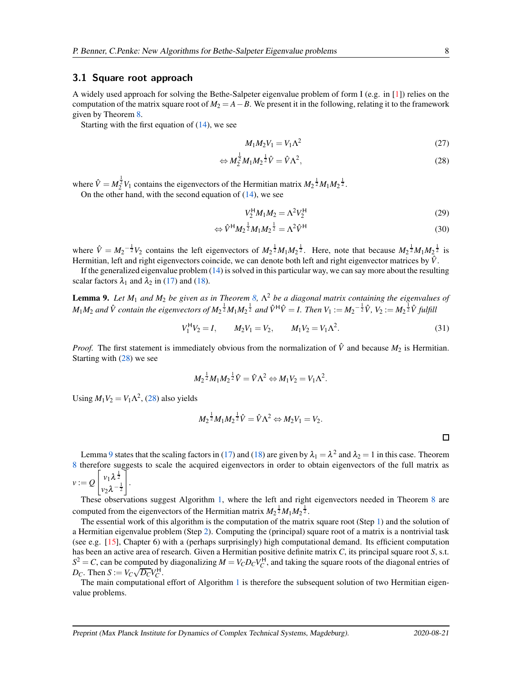#### <span id="page-7-2"></span>3.1 Square root approach

A widely used approach for solving the Bethe-Salpeter eigenvalue problem of form I (e.g. in [\[1\]](#page-15-0)) relies on the computation of the matrix square root of  $M_2 = A - B$ . We present it in the following, relating it to the framework given by Theorem [8.](#page-5-4)

Starting with the first equation of  $(14)$ , we see

<span id="page-7-0"></span>
$$
M_1 M_2 V_1 = V_1 \Lambda^2 \tag{27}
$$

$$
\Leftrightarrow M_2^{\frac{1}{2}} M_1 M_2^{\frac{1}{2}} \hat{V} = \hat{V} \Lambda^2, \tag{28}
$$

where  $\hat{V} = M_2^{\frac{1}{2}} V_1$  contains the eigenvectors of the Hermitian matrix  $M_2^{\frac{1}{2}} M_1 M_2^{\frac{1}{2}}$ .

On the other hand, with the second equation of  $(14)$ , we see

$$
V_2^{\rm H} M_1 M_2 = \Lambda^2 V_2^{\rm H} \tag{29}
$$

$$
\Leftrightarrow \hat{V}^{\mathsf{H}} M_2^{\frac{1}{2}} M_1 M_2^{\frac{1}{2}} = \Lambda^2 \hat{V}^{\mathsf{H}}
$$
\n(30)

where  $\hat{V} = M_2^{-\frac{1}{2}}V_2$  contains the left eigenvectors of  $M_2^{\frac{1}{2}}M_1M_2^{\frac{1}{2}}$ . Here, note that because  $M_2^{\frac{1}{2}}M_1M_2^{\frac{1}{2}}$  is Hermitian, left and right eigenvectors coincide, we can denote both left and right eigenvector matrices by  $\hat{V}$ .

<span id="page-7-1"></span>If the generalized eigenvalue problem [\(14\)](#page-5-0) is solved in this particular way, we can say more about the resulting scalar factors  $\lambda_1$  and  $\lambda_2$  in [\(17\)](#page-5-1) and [\(18\)](#page-5-2).

Lemma 9. *Let M*<sup>1</sup> *and M*<sup>2</sup> *be given as in Theorem [8,](#page-5-4)* Λ <sup>2</sup> *be a diagonal matrix containing the eigenvalues of*  $M_1M_2$  and  $\hat{V}$  contain the eigenvectors of  $M_2^{\frac{1}{2}}M_1M_2^{\frac{1}{2}}$  and  $\hat{V}^H\hat{V}=I$ . Then  $V_1:=M_2^{-\frac{1}{2}}\hat{V}$ ,  $V_2:=M_2^{\frac{1}{2}}\hat{V}$  fulfill

$$
V_1^{\mathsf{H}} V_2 = I, \qquad M_2 V_1 = V_2, \qquad M_1 V_2 = V_1 \Lambda^2. \tag{31}
$$

*Proof.* The first statement is immediately obvious from the normalization of  $\hat{V}$  and because  $M_2$  is Hermitian. Starting with [\(28\)](#page-7-0) we see

$$
M_2^{\frac{1}{2}}M_1M_2^{\frac{1}{2}}\hat{V} = \hat{V}\Lambda^2 \Leftrightarrow M_1V_2 = V_1\Lambda^2.
$$

Using  $M_1V_2 = V_1\Lambda^2$ , [\(28\)](#page-7-0) also yields

$$
M_2^{\frac{1}{2}}M_1M_2^{\frac{1}{2}}\hat{V} = \hat{V}\Lambda^2 \Leftrightarrow M_2V_1 = V_2.
$$

Lemma [9](#page-7-1) states that the scaling factors in [\(17\)](#page-5-1) and [\(18\)](#page-5-2) are given by  $\lambda_1 = \lambda^2$  and  $\lambda_2 = 1$  in this case. Theorem [8](#page-5-4) therefore suggests to scale the acquired eigenvectors in order to obtain eigenvectors of the full matrix as  $\sqrt{ }$ 1 1

$$
v:=Q\left[\begin{array}{c}v_1\lambda^{\frac{1}{2}}\\v_2\lambda^{-\frac{1}{2}}\end{array}\right].
$$

These observations suggest Algorithm [1,](#page-8-0) where the left and right eigenvectors needed in Theorem [8](#page-5-4) are computed from the eigenvectors of the Hermitian matrix  $M_2^{\frac{1}{2}}M_1M_2^{\frac{1}{2}}$ .

The essential work of this algorithm is the computation of the matrix square root (Step [1\)](#page-8-0) and the solution of a Hermitian eigenvalue problem (Step [2\)](#page-8-0). Computing the (principal) square root of a matrix is a nontrivial task (see e.g. [\[15\]](#page-15-14), Chapter 6) with a (perhaps surprisingly) high computational demand. Its efficient computation has been an active area of research. Given a Hermitian positive definite matrix *C*, its principal square root *S*, s.t.  $S^2 = C$ , can be computed by diagonalizing  $M = V_C D_C V_C^H$ , and taking the square roots of the diagonal entries of  $D_C$ . Then  $S := V_C \sqrt{D_C} V_C^H$ .

The main computational effort of Algorithm [1](#page-8-0) is therefore the subsequent solution of two Hermitian eigenvalue problems.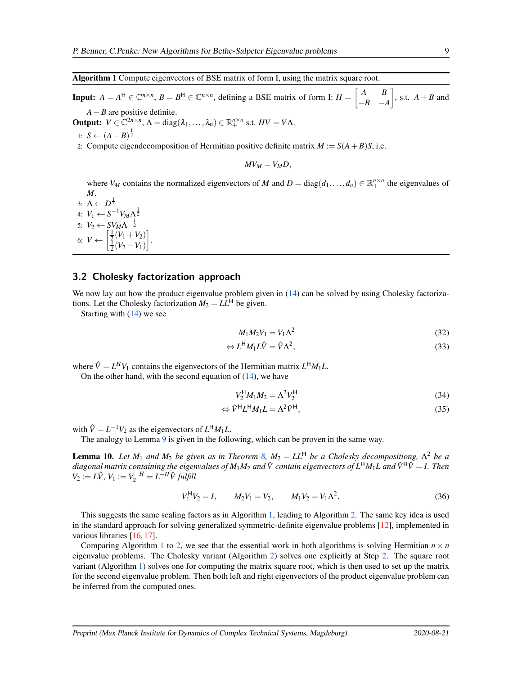#### <span id="page-8-0"></span>Algorithm 1 Compute eigenvectors of BSE matrix of form I, using the matrix square root.

**Input:**  $A = A^H \in \mathbb{C}^{n \times n}$ ,  $B = B^H \in \mathbb{C}^{n \times n}$ , defining a BSE matrix of form I:  $H = \begin{bmatrix} A & B \\ -B & -A \end{bmatrix}$ −*B* −*A*  $\Big]$ , s.t.  $A + B$  and *A*−*B* are positive definite.

**Output:**  $V \in \mathbb{C}^{2n \times n}$ ,  $\Lambda = \text{diag}(\lambda_1, \ldots, \lambda_n) \in \mathbb{R}^{n \times n}$  s.t.  $HV = V\Lambda$ .

1: *S* ←  $(A - B)^{\frac{1}{2}}$ 

2: Compute eigendecomposition of Hermitian positive definite matrix  $M := S(A + B)S$ , i.e.

$$
MV_M=V_M D,
$$

where  $V_M$  contains the normalized eigenvectors of *M* and  $D = \text{diag}(d_1, \ldots, d_n) \in \mathbb{R}^{n \times n}_+$  the eigenvalues of *M*.

3:  $\Lambda \leftarrow D^{\frac{1}{2}}$ 4:  $V_1 \leftarrow S^{-1} V_M \Lambda_1^{\frac{1}{2}}$ 5: *V*<sub>2</sub> ← *SV<sub>M</sub>* $Λ^{-\frac{1}{2}}$ 6:  $V \leftarrow \begin{bmatrix} \frac{1}{2}(V_1 + V_2) \\ \frac{1}{2}(V_2 - V_1) \end{bmatrix}$ .

### <span id="page-8-1"></span>3.2 Cholesky factorization approach

We now lay out how the product eigenvalue problem given in  $(14)$  can be solved by using Cholesky factorizations. Let the Cholesky factorization  $M_2 = LL^H$  be given.

Starting with [\(14\)](#page-5-0) we see

$$
M_1 M_2 V_1 = V_1 \Lambda^2 \tag{32}
$$

$$
\Leftrightarrow L^{\mathsf{H}} M_1 L \hat{V} = \hat{V} \Lambda^2,\tag{33}
$$

where  $\hat{V} = L^H V_1$  contains the eigenvectors of the Hermitian matrix  $L^H M_1 L$ .

On the other hand, with the second equation of  $(14)$ , we have

$$
V_2^{\mathsf{H}} M_1 M_2 = \Lambda^2 V_2^{\mathsf{H}} \tag{34}
$$

$$
\Leftrightarrow \hat{V}^{\mathsf{H}} L^{\mathsf{H}} M_1 L = \Lambda^2 \hat{V}^{\mathsf{H}},\tag{35}
$$

with  $\hat{V} = L^{-1}V_2$  as the eigenvectors of  $L^H M_1 L$ .

The analogy to Lemma [9](#page-7-1) is given in the following, which can be proven in the same way.

**Lemma 10.** Let  $M_1$  and  $M_2$  be given as in Theorem [8,](#page-5-4)  $M_2 = LL^H$  be a Cholesky decompositiong,  $\Lambda^2$  be a *diagonal matrix containing the eigenvalues of*  $M_1M_2$  *and*  $\hat{V}$  *contain eigenvectors of*  $L^H M_1L$  *and*  $\hat{V}^H \hat{V} = I$ *. Then*  $V_2 := L\hat{V}$ ,  $V_1 := V_2^{-H} = L^{-H}\hat{V}$  fulfill

$$
V_1^{\mathsf{H}} V_2 = I, \qquad M_2 V_1 = V_2, \qquad M_1 V_2 = V_1 \Lambda^2. \tag{36}
$$

This suggests the same scaling factors as in Algorithm [1,](#page-8-0) leading to Algorithm [2.](#page-9-0) The same key idea is used in the standard approach for solving generalized symmetric-definite eigenvalue problems [\[12\]](#page-15-11), implemented in various libraries [\[16,](#page-16-0) [17\]](#page-16-1).

Comparing Algorithm [1](#page-8-0) to [2,](#page-9-0) we see that the essential work in both algorithms is solving Hermitian  $n \times n$ eigenvalue problems. The Cholesky variant (Algorithm [2\)](#page-9-0) solves one explicitly at Step [2.](#page-9-0) The square root variant (Algorithm [1\)](#page-8-0) solves one for computing the matrix square root, which is then used to set up the matrix for the second eigenvalue problem. Then both left and right eigenvectors of the product eigenvalue problem can be inferred from the computed ones.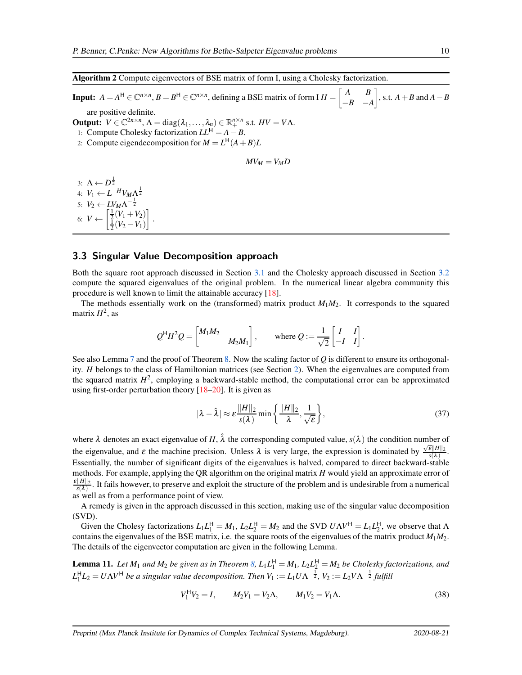#### <span id="page-9-0"></span>Algorithm 2 Compute eigenvectors of BSE matrix of form I, using a Cholesky factorization.

**Input:**  $A = A^H \in \mathbb{C}^{n \times n}$ ,  $B = B^H \in \mathbb{C}^{n \times n}$ , defining a BSE matrix of form I  $H = \begin{bmatrix} A & B \\ -B & -A \end{bmatrix}$ −*B* −*A*  $\Big]$ , s.t.  $A + B$  and  $A - B$ are positive definite.

**Output:**  $V \in \mathbb{C}^{2n \times n}$ ,  $\Lambda = \text{diag}(\lambda_1, \ldots, \lambda_n) \in \mathbb{R}^{n \times n}$  s.t.  $HV = V\Lambda$ .

1: Compute Cholesky factorization  $LL^H = A - B$ .

.

2: Compute eigendecomposition for  $M = L<sup>H</sup>(A + B)L$ 

$$
MV_M=V_M D
$$

3:  $\Lambda \leftarrow D^{\frac{1}{2}}$ 4:  $V_1 \leftarrow L^{-H} V_M \Lambda^{\frac{1}{2}}$ 5:  $V_2 \leftarrow L V_M \Lambda^{-\frac{1}{2}}$ 6:  $V \leftarrow \begin{bmatrix} \frac{1}{2}(V_1 + V_2) \\ \frac{1}{2}(V_2 - V_1) \end{bmatrix}$ 1

#### <span id="page-9-3"></span>3.3 Singular Value Decomposition approach

Both the square root approach discussed in Section [3.1](#page-7-2) and the Cholesky approach discussed in Section [3.2](#page-8-1) compute the squared eigenvalues of the original problem. In the numerical linear algebra community this procedure is well known to limit the attainable accuracy [\[18\]](#page-16-2).

The methods essentially work on the (transformed) matrix product  $M_1M_2$ . It corresponds to the squared matrix  $H^2$ , as

$$
Q^{H}H^{2}Q = \begin{bmatrix} M_{1}M_{2} & & \\ & M_{2}M_{1} \end{bmatrix}
$$
, where  $Q := \frac{1}{\sqrt{2}} \begin{bmatrix} I & I \\ -I & I \end{bmatrix}$ .

See also Lemma [7](#page-5-5) and the proof of Theorem [8.](#page-5-4) Now the scaling factor of *Q* is different to ensure its orthogonality. *H* belongs to the class of Hamiltonian matrices (see Section [2\)](#page-2-4). When the eigenvalues are computed from the squared matrix  $H^2$ , employing a backward-stable method, the computational error can be approximated using first-order perturbation theory  $[18–20]$  $[18–20]$ . It is given as

<span id="page-9-2"></span>
$$
|\lambda - \hat{\lambda}| \approx \varepsilon \frac{\|H\|_2}{s(\lambda)} \min \left\{ \frac{\|H\|_2}{\lambda}, \frac{1}{\sqrt{\varepsilon}} \right\},\tag{37}
$$

where  $\lambda$  denotes an exact eigenvalue of H,  $\hat{\lambda}$  the corresponding computed value,  $s(\lambda)$  the condition number of the eigenvalue, and  $\varepsilon$  the machine precision. Unless  $\lambda$  is very large, the expression is dominated by  $\frac{\sqrt{\varepsilon}||H||_2}{s(\lambda)}$ . Essentially, the number of significant digits of the eigenvalues is halved, compared to direct backward-stable methods. For example, applying the QR algorithm on the original matrix *H* would yield an approximate error of  $\frac{\varepsilon\|H\|_2}{s(\lambda)}$ . It fails however, to preserve and exploit the structure of the problem and is undesirable from a numerical as well as from a performance point of view.

A remedy is given in the approach discussed in this section, making use of the singular value decomposition (SVD).

Given the Cholesy factorizations  $L_1 L_1^H = M_1$ ,  $L_2 L_2^H = M_2$  and the SVD  $U \Lambda V^H = L_1 L_2^H$ , we observe that  $\Lambda$ contains the eigenvalues of the BSE matrix, i.e. the square roots of the eigenvalues of the matrix product *M*1*M*2. The details of the eigenvector computation are given in the following Lemma.

<span id="page-9-1"></span>**Lemma 11.** Let  $M_1$  and  $M_2$  be given as in Theorem [8,](#page-5-4)  $L_1L_1^H = M_1$ ,  $L_2L_2^H = M_2$  be Cholesky factorizations, and  $L_1^H L_2 = U \Lambda V^H$  *be a singular value decomposition. Then*  $V_1 := L_1 U \Lambda^{-\frac{1}{2}}$ ,  $V_2 := L_2 V \Lambda^{-\frac{1}{2}}$  fulfill

$$
V_1^{\mathsf{H}} V_2 = I, \qquad M_2 V_1 = V_2 \Lambda, \qquad M_1 V_2 = V_1 \Lambda. \tag{38}
$$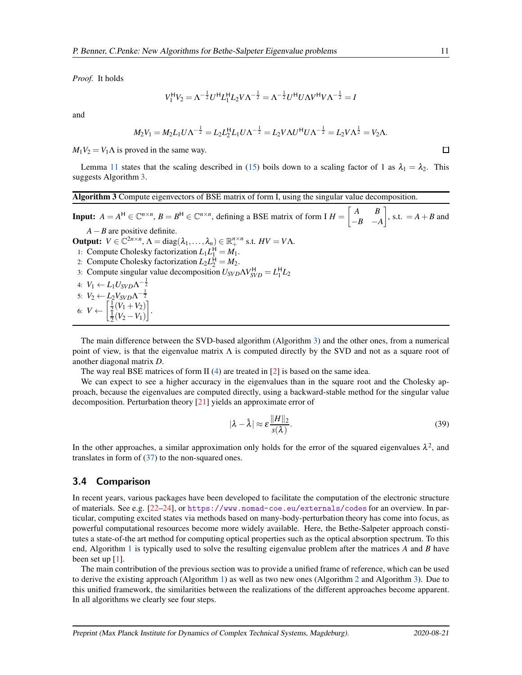*Proof.* It holds

$$
V_1^{\rm H} V_2 = \Lambda^{-\frac{1}{2}} U^{\rm H} L_1^{\rm H} L_2 V \Lambda^{-\frac{1}{2}} = \Lambda^{-\frac{1}{2}} U^{\rm H} U \Lambda V^{\rm H} V \Lambda^{-\frac{1}{2}} = I
$$

and

$$
M_2V_1 = M_2L_1U\Lambda^{-\frac{1}{2}} = L_2L_2^H L_1U\Lambda^{-\frac{1}{2}} = L_2V\Lambda U^H U\Lambda^{-\frac{1}{2}} = L_2V\Lambda^{\frac{1}{2}} = V_2\Lambda.
$$

 $M_1V_2 = V_1\Lambda$  is proved in the same way.

Lemma [11](#page-9-1) states that the scaling described in [\(15\)](#page-5-6) boils down to a scaling factor of 1 as  $\lambda_1 = \lambda_2$ . This suggests Algorithm [3.](#page-10-0)

#### <span id="page-10-0"></span>Algorithm 3 Compute eigenvectors of BSE matrix of form I, using the singular value decomposition.

**Input:**  $A = A^H \in \mathbb{C}^{n \times n}$ ,  $B = B^H \in \mathbb{C}^{n \times n}$ , defining a BSE matrix of form I  $H = \begin{bmatrix} A & B \\ -B & -A \end{bmatrix}$ −*B* −*A*  $\Big]$ , s.t.  $=A+B$  and *A*−*B* are positive definite. **Output:**  $V \in \mathbb{C}^{2n \times n}$ ,  $\Lambda = \text{diag}(\lambda_1, \ldots, \lambda_n) \in \mathbb{R}^{n \times n}_+$  s.t.  $HV = V\Lambda$ . 1: Compute Cholesky factorization  $L_1 L_1^H = M_1$ . 2: Compute Cholesky factorization  $L_2 L_2^{\mathsf{H}} = M_2$ . 3: Compute singular value decomposition  $U_{SVD}\Lambda V_{SVD}^{\text{H}} = L_1^{\text{H}}L_2$ 4:  $V_1 \leftarrow L_1 U_{SVD} \Lambda^{-\frac{1}{2}}$ 5:  $V_2 \leftarrow L_2 V_{SVD} \Lambda^{-\frac{1}{2}}$ 6:  $V \leftarrow \begin{bmatrix} \frac{1}{2}(V_1 + V_2) \\ \frac{1}{2}(V_2 - V_1) \end{bmatrix}$ 1 .

The main difference between the SVD-based algorithm (Algorithm [3\)](#page-10-0) and the other ones, from a numerical point of view, is that the eigenvalue matrix  $\Lambda$  is computed directly by the SVD and not as a square root of another diagonal matrix *D*.

The way real BSE matrices of form  $\text{II}(4)$  $\text{II}(4)$  are treated in [\[2\]](#page-15-1) is based on the same idea.

We can expect to see a higher accuracy in the eigenvalues than in the square root and the Cholesky approach, because the eigenvalues are computed directly, using a backward-stable method for the singular value decomposition. Perturbation theory [\[21\]](#page-16-4) yields an approximate error of

$$
|\lambda - \hat{\lambda}| \approx \varepsilon \frac{\|H\|_2}{s(\lambda)}.
$$
 (39)

In the other approaches, a similar approximation only holds for the error of the squared eigenvalues  $\lambda^2$ , and translates in form of [\(37\)](#page-9-2) to the non-squared ones.

#### 3.4 Comparison

In recent years, various packages have been developed to facilitate the computation of the electronic structure of materials. See e.g. [\[22](#page-16-5)[–24\]](#page-16-6), or <https://www.nomad-coe.eu/externals/codes> for an overview. In particular, computing excited states via methods based on many-body-perturbation theory has come into focus, as powerful computational resources become more widely available. Here, the Bethe-Salpeter approach constitutes a state-of-the art method for computing optical properties such as the optical absorption spectrum. To this end, Algorithm [1](#page-8-0) is typically used to solve the resulting eigenvalue problem after the matrices *A* and *B* have been set up  $[1]$ .

The main contribution of the previous section was to provide a unified frame of reference, which can be used to derive the existing approach (Algorithm [1\)](#page-8-0) as well as two new ones (Algorithm [2](#page-9-0) and Algorithm [3\)](#page-10-0). Due to this unified framework, the similarities between the realizations of the different approaches become apparent. In all algorithms we clearly see four steps.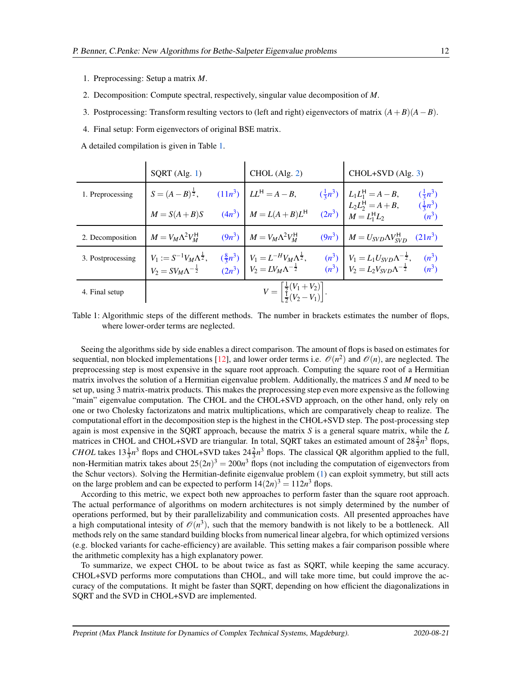- 1. Preprocessing: Setup a matrix *M*.
- 2. Decomposition: Compute spectral, respectively, singular value decomposition of *M*.
- 3. Postprocessing: Transform resulting vectors to (left and right) eigenvectors of matrix  $(A + B)(A B)$ .
- 4. Final setup: Form eigenvectors of original BSE matrix.
- <span id="page-11-0"></span>A detailed compilation is given in Table [1.](#page-11-0)

|                   | $SQRT$ (Alg. 1)                                                                  |  | $CHOL$ (Alg. 2)                                                                                                                                                                                                                                                                                                            |  | $CHOL+SVD$ (Alg. 3)                                                                         |                               |
|-------------------|----------------------------------------------------------------------------------|--|----------------------------------------------------------------------------------------------------------------------------------------------------------------------------------------------------------------------------------------------------------------------------------------------------------------------------|--|---------------------------------------------------------------------------------------------|-------------------------------|
| 1. Preprocessing  | $S = (A - B)^{\frac{1}{2}},$ $(11n^3)$ $LL^H = A - B,$                           |  |                                                                                                                                                                                                                                                                                                                            |  |                                                                                             | $(\frac{1}{3}n^3)$            |
|                   | $M = S(A + B)S$                                                                  |  | $(4n^3)$ $M = L(A+B)L^H$                                                                                                                                                                                                                                                                                                   |  | $(\frac{1}{3}n^3)$ $L_1L_1^H = A - B$ ,<br>$L_2L_2^H = A + B$ ,<br>$(2n^3)$ $M = L_1^H L_2$ | $(\frac{1}{3}n^3)$<br>$(n^3)$ |
| 2. Decomposition  | $M = V_M \Lambda^2 V_M^{\rm H}$                                                  |  | $(9n^3)$ $M = V_M \Lambda^2 V_M^{\rm H}$                                                                                                                                                                                                                                                                                   |  | $(9n^3)$ $M = U_{SVD} \Lambda V_{SVD}^{\text{H}}$ $(21n^3)$                                 |                               |
| 3. Postprocessing | $V_1 := S^{-1} V_M \Lambda^{\frac{1}{2}},$<br>$V_2 = SV_M\Lambda^{-\frac{1}{2}}$ |  | $\begin{vmatrix} (\frac{8}{3}n^3) \\ (2n^3) \end{vmatrix}$ $\begin{vmatrix} V_1 = L^{-H}V_M\Lambda^{\frac{1}{2}}, \\ V_2 = LV_M\Lambda^{-\frac{1}{2}} \end{vmatrix}$ $\begin{vmatrix} n^3 \end{vmatrix}$ $\begin{vmatrix} V_1 = L_1U_{SVD}\Lambda^{-\frac{1}{2}}, \\ V_2 = L_2V_{SVD}\Lambda^{-\frac{1}{2}} \end{vmatrix}$ |  |                                                                                             | $\frac{(n^3)}{(n^3)}$         |
| 4. Final setup    |                                                                                  |  | $V = \left[\frac{\frac{1}{2}(V_1 + V_2)}{\frac{1}{2}(V_2 - V_1)}\right].$                                                                                                                                                                                                                                                  |  |                                                                                             |                               |

Table 1: Algorithmic steps of the different methods. The number in brackets estimates the number of flops, where lower-order terms are neglected.

Seeing the algorithms side by side enables a direct comparison. The amount of flops is based on estimates for sequential, non blocked implementations [\[12\]](#page-15-11), and lower order terms i.e.  $\mathcal{O}(n^2)$  and  $\mathcal{O}(n)$ , are neglected. The preprocessing step is most expensive in the square root approach. Computing the square root of a Hermitian matrix involves the solution of a Hermitian eigenvalue problem. Additionally, the matrices *S* and *M* need to be set up, using 3 matrix-matrix products. This makes the preprocessing step even more expensive as the following "main" eigenvalue computation. The CHOL and the CHOL+SVD approach, on the other hand, only rely on one or two Cholesky factorizatons and matrix multiplications, which are comparatively cheap to realize. The computational effort in the decomposition step is the highest in the CHOL+SVD step. The post-processing step again is most expensive in the SQRT approach, because the matrix *S* is a general square matrix, while the *L* matrices in CHOL and CHOL+SVD are triangular. In total, SQRT takes an estimated amount of  $28\frac{2}{3}n^3$  flops, *CHOL* takes  $13\frac{1}{3}n^3$  flops and CHOL+SVD takes  $24\frac{2}{3}n^3$  flops. The classical QR algorithm applied to the full, non-Hermitian matrix takes about  $25(2n)^3 = 200n^3$  flops (not including the computation of eigenvectors from the Schur vectors). Solving the Hermitian-definite eigenvalue problem [\(1\)](#page-1-0) can exploit symmetry, but still acts on the large problem and can be expected to perform  $14(2n)^3 = 112n^3$  flops.

According to this metric, we expect both new approaches to perform faster than the square root approach. The actual performance of algorithms on modern architectures is not simply determined by the number of operations performed, but by their parallelizability and communication costs. All presented approaches have a high computational intesity of  $\mathcal{O}(n^3)$ , such that the memory bandwith is not likely to be a bottleneck. All methods rely on the same standard building blocks from numerical linear algebra, for which optimized versions (e.g. blocked variants for cache-efficiency) are available. This setting makes a fair comparison possible where the arithmetic complexity has a high explanatory power.

To summarize, we expect CHOL to be about twice as fast as SQRT, while keeping the same accuracy. CHOL+SVD performs more computations than CHOL, and will take more time, but could improve the accuracy of the computations. It might be faster than SQRT, depending on how efficient the diagonalizations in SQRT and the SVD in CHOL+SVD are implemented.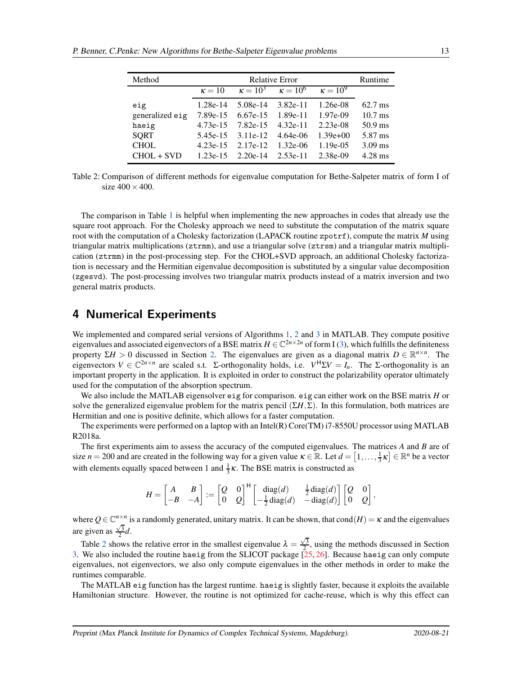<span id="page-12-0"></span>

| Method          | <b>Relative Error</b><br>Runtime |            |                                                 |             |                   |  |  |
|-----------------|----------------------------------|------------|-------------------------------------------------|-------------|-------------------|--|--|
|                 | $\kappa = 10$                    |            | $\kappa = 10^3$ $\kappa = 10^6$ $\kappa = 10^9$ |             |                   |  |  |
| eig             | 1.28e-14                         | $5.08e-14$ | $3.82e-11$                                      | $1.26e-08$  | $62.7 \text{ ms}$ |  |  |
| generalized eig | 7.89e-15                         | $6.67e-15$ | 1.89e-11                                        | 1.97e-09    | $10.7$ ms         |  |  |
| haeig           | $4.73e-15$                       | 7.82e-15   | $4.32e-11$                                      | $2.23e-08$  | $50.9$ ms         |  |  |
| <b>SQRT</b>     | 5.45e-15                         | $3.11e-12$ | 4.64e-06                                        | $1.39e+00$  | 5.87 ms           |  |  |
| <b>CHOL</b>     | $4.23e-15$                       | $2.17e-12$ | $1.32e-06$                                      | $1.19e-0.5$ | $3.09$ ms         |  |  |
| $CHOL + SVD$    | $1.23e-15$                       | $2.20e-14$ | $2.53e-11$                                      | 2.38e-09    | $4.28$ ms         |  |  |

Table 2: Comparison of different methods for eigenvalue computation for Bethe-Salpeter matrix of form I of size  $400 \times 400$ .

The comparison in Table [1](#page-11-0) is helpful when implementing the new approaches in codes that already use the square root approach. For the Cholesky approach we need to substitute the computation of the matrix square root with the computation of a Cholesky factorization (LAPACK routine zpotrf), compute the matrix *M* using triangular matrix multiplications (ztrmm), and use a triangular solve (ztrsm) and a triangular matrix multiplication (ztrmm) in the post-processing step. For the CHOL+SVD approach, an additional Cholesky factorization is necessary and the Hermitian eigenvalue decomposition is substituted by a singular value decomposition (zgesvd). The post-processing involves two triangular matrix products instead of a matrix inversion and two general matrix products.

## 4 Numerical Experiments

We implemented and compared serial versions of Algorithms [1,](#page-8-0) [2](#page-9-0) and [3](#page-10-0) in MATLAB. They compute positive eigenvalues and associated eigenvectors of a BSE matrix  $H \in \mathbb{C}^{2n \times 2n}$  of form I [\(3\)](#page-1-1), which fulfills the definiteness property  $\Sigma H > 0$  discussed in Section [2.](#page-2-4) The eigenvalues are given as a diagonal matrix  $D \in \mathbb{R}^{n \times n}$ . The eigenvectors  $V \in \mathbb{C}^{2n \times n}$  are scaled s.t. Σ-orthogonality holds, i.e.  $V^{H} \Sigma V = I_{n}$ . The Σ-orthogonality is an important property in the application. It is exploited in order to construct the polarizability operator ultimately used for the computation of the absorption spectrum.

We also include the MATLAB eigensolver eig for comparison. eig can either work on the BSE matrix *H* or solve the generalized eigenvalue problem for the matrix pencil  $(\Sigma H, \Sigma)$ . In this formulation, both matrices are Hermitian and one is positive definite, which allows for a faster computation.

The experiments were performed on a laptop with an Intel(R) Core(TM) i7-8550U processor using MATLAB R2018a.

The first experiments aim to assess the accuracy of the computed eigenvalues. The matrices *A* and *B* are of size  $n = 200$  and are created in the following way for a given value  $\kappa \in \mathbb{R}$ . Let  $d = [1, \ldots, \frac{1}{3}\kappa] \in \mathbb{R}^n$  be a vector with elements equally spaced between 1 and  $\frac{1}{3}\kappa$ . The BSE matrix is constructed as

$$
H = \begin{bmatrix} A & B \\ -B & -A \end{bmatrix} := \begin{bmatrix} Q & 0 \\ 0 & Q \end{bmatrix}^{\mathsf{H}} \begin{bmatrix} \text{diag}(d) & \frac{1}{2}\text{diag}(d) \\ -\frac{1}{2}\text{diag}(d) & -\text{diag}(d) \end{bmatrix} \begin{bmatrix} Q & 0 \\ 0 & Q \end{bmatrix},
$$

where  $Q \in \mathbb{C}^{n \times n}$  is a randomly generated, unitary matrix. It can be shown, that cond $(H) = \kappa$  and the eigenvalues are given as  $\frac{\sqrt{3}}{2}d$ .

Table [2](#page-12-0) shows the relative error in the smallest eigenvalue  $\lambda = \frac{\sqrt{3}}{2}$ , using the methods discussed in Section [3.](#page-6-1) We also included the routine haeig from the SLICOT package [\[25,](#page-16-7) [26\]](#page-16-8). Because haeig can only compute eigenvalues, not eigenvectors, we also only compute eigenvalues in the other methods in order to make the runtimes comparable.

The MATLAB eig function has the largest runtime. haeig is slightly faster, because it exploits the available Hamiltonian structure. However, the routine is not optimized for cache-reuse, which is why this effect can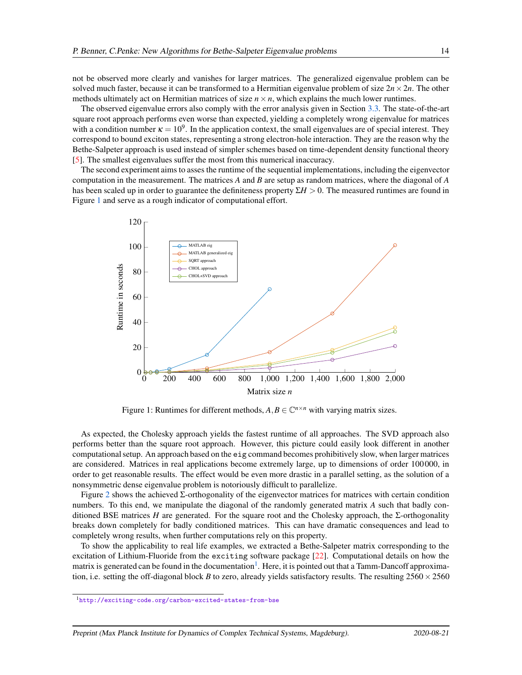not be observed more clearly and vanishes for larger matrices. The generalized eigenvalue problem can be solved much faster, because it can be transformed to a Hermitian eigenvalue problem of size  $2n \times 2n$ . The other methods ultimately act on Hermitian matrices of size  $n \times n$ , which explains the much lower runtimes.

The observed eigenvalue errors also comply with the error analysis given in Section [3.3.](#page-9-3) The state-of-the-art square root approach performs even worse than expected, yielding a completely wrong eigenvalue for matrices with a condition number  $\kappa = 10^9$ . In the application context, the small eigenvalues are of special interest. They correspond to bound exciton states, representing a strong electron-hole interaction. They are the reason why the Bethe-Salpeter approach is used instead of simpler schemes based on time-dependent density functional theory [\[5\]](#page-15-4). The smallest eigenvalues suffer the most from this numerical inaccuracy.

The second experiment aims to asses the runtime of the sequential implementations, including the eigenvector computation in the measurement. The matrices *A* and *B* are setup as random matrices, where the diagonal of *A* has been scaled up in order to guarantee the definiteness property Σ*H* > 0. The measured runtimes are found in Figure [1](#page-13-0) and serve as a rough indicator of computational effort.

<span id="page-13-0"></span>

Figure 1: Runtimes for different methods,  $A, B \in \mathbb{C}^{n \times n}$  with varying matrix sizes.

As expected, the Cholesky approach yields the fastest runtime of all approaches. The SVD approach also performs better than the square root approach. However, this picture could easily look different in another computational setup. An approach based on the eig command becomes prohibitively slow, when larger matrices are considered. Matrices in real applications become extremely large, up to dimensions of order 100 000, in order to get reasonable results. The effect would be even more drastic in a parallel setting, as the solution of a nonsymmetric dense eigenvalue problem is notoriously difficult to parallelize.

Figure [2](#page-14-0) shows the achieved  $\Sigma$ -orthogonality of the eigenvector matrices for matrices with certain condition numbers. To this end, we manipulate the diagonal of the randomly generated matrix *A* such that badly conditioned BSE matrices *H* are generated. For the square root and the Cholesky approach, the Σ-orthogonality breaks down completely for badly conditioned matrices. This can have dramatic consequences and lead to completely wrong results, when further computations rely on this property.

To show the applicability to real life examples, we extracted a Bethe-Salpeter matrix corresponding to the excitation of Lithium-Fluoride from the exciting software package [\[22\]](#page-16-5). Computational details on how the matrix is generated can be found in the documentation<sup>[1](#page-13-1)</sup>. Here, it is pointed out that a Tamm-Dancoff approximation, i.e. setting the off-diagonal block *B* to zero, already yields satisfactory results. The resulting  $2560 \times 2560$ 

<span id="page-13-1"></span><sup>1</sup><http://exciting-code.org/carbon-excited-states-from-bse>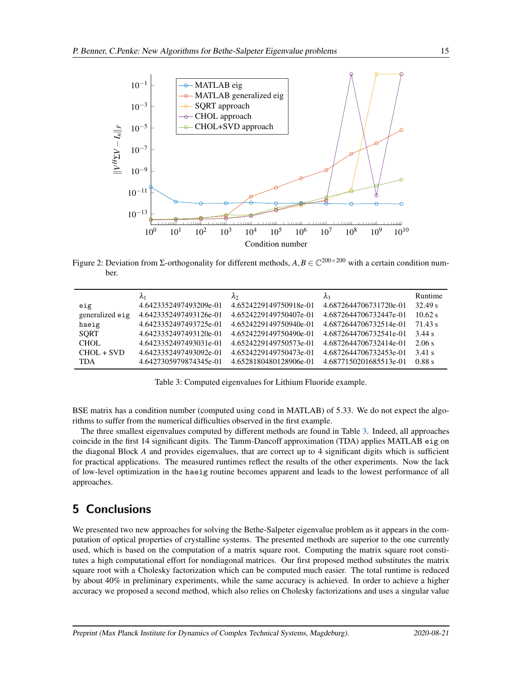<span id="page-14-0"></span>

Figure 2: Deviation from  $\Sigma$ -orthogonality for different methods,  $A, B \in \mathbb{C}^{200 \times 200}$  with a certain condition number.

<span id="page-14-1"></span>

|                 | $\lambda_1$            | $\lambda_2$            | $\lambda_3$            | Runtime   |
|-----------------|------------------------|------------------------|------------------------|-----------|
| eig             | 4.6423352497493209e-01 | 4.6524229149750918e-01 | 4.6872644706731720e-01 | 32.49 s   |
| generalized eig | 4.6423352497493126e-01 | 4.6524229149750407e-01 | 4.6872644706732447e-01 | $10.62$ s |
| haeig           | 4.6423352497493725e-01 | 4.6524229149750940e-01 | 4.6872644706732514e-01 | 71.43 s   |
| <b>SORT</b>     | 4.6423352497493120e-01 | 4.6524229149750490e-01 | 4.6872644706732541e-01 | 3.44 s    |
| CHOL.           | 4.6423352497493031e-01 | 4.6524229149750573e-01 | 4.6872644706732414e-01 | 2.06 s    |
| $CHOL + SVD$    | 4.6423352497493092e-01 | 4.6524229149750473e-01 | 4.6872644706732453e-01 | 3.41 s    |
| <b>TDA</b>      | 4.6427305979874345e-01 | 4.6528180480128906e-01 | 4.6877150201685513e-01 | 0.88 s    |

Table 3: Computed eigenvalues for Lithium Fluoride example.

BSE matrix has a condition number (computed using cond in MATLAB) of 5.33. We do not expect the algorithms to suffer from the numerical difficulties observed in the first example.

The three smallest eigenvalues computed by different methods are found in Table [3.](#page-14-1) Indeed, all approaches coincide in the first 14 significant digits. The Tamm-Dancoff approximation (TDA) applies MATLAB eig on the diagonal Block *A* and provides eigenvalues, that are correct up to 4 significant digits which is sufficient for practical applications. The measured runtimes reflect the results of the other experiments. Now the lack of low-level optimization in the haeig routine becomes apparent and leads to the lowest performance of all approaches.

# 5 Conclusions

We presented two new approaches for solving the Bethe-Salpeter eigenvalue problem as it appears in the computation of optical properties of crystalline systems. The presented methods are superior to the one currently used, which is based on the computation of a matrix square root. Computing the matrix square root constitutes a high computational effort for nondiagonal matrices. Our first proposed method substitutes the matrix square root with a Cholesky factorization which can be computed much easier. The total runtime is reduced by about 40% in preliminary experiments, while the same accuracy is achieved. In order to achieve a higher accuracy we proposed a second method, which also relies on Cholesky factorizations and uses a singular value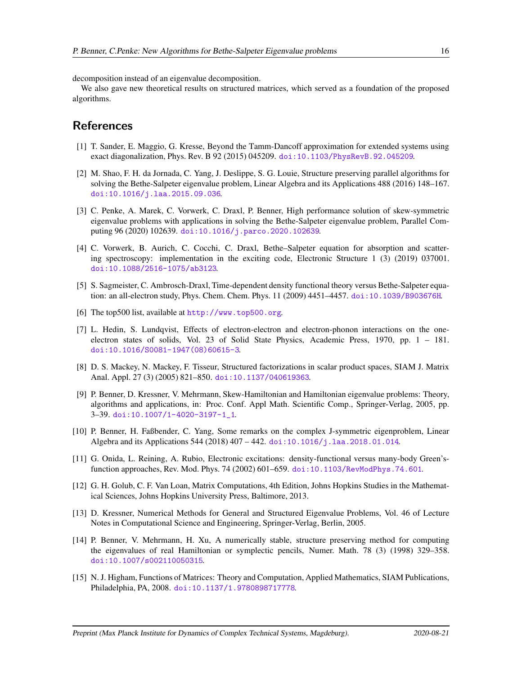decomposition instead of an eigenvalue decomposition.

We also gave new theoretical results on structured matrices, which served as a foundation of the proposed algorithms.

## <span id="page-15-0"></span>References

- <span id="page-15-1"></span>[1] T. Sander, E. Maggio, G. Kresse, Beyond the Tamm-Dancoff approximation for extended systems using exact diagonalization, Phys. Rev. B 92 (2015) 045209. [doi:10.1103/PhysRevB.92.045209](http://dx.doi.org/10.1103/PhysRevB.92.045209).
- [2] M. Shao, F. H. da Jornada, C. Yang, J. Deslippe, S. G. Louie, Structure preserving parallel algorithms for solving the Bethe-Salpeter eigenvalue problem, Linear Algebra and its Applications 488 (2016) 148–167. [doi:10.1016/j.laa.2015.09.036](http://dx.doi.org/10.1016/j.laa.2015.09.036).
- <span id="page-15-2"></span>[3] C. Penke, A. Marek, C. Vorwerk, C. Draxl, P. Benner, High performance solution of skew-symmetric eigenvalue problems with applications in solving the Bethe-Salpeter eigenvalue problem, Parallel Computing 96 (2020) 102639. [doi:10.1016/j.parco.2020.102639](http://dx.doi.org/10.1016/j.parco.2020.102639).
- <span id="page-15-3"></span>[4] C. Vorwerk, B. Aurich, C. Cocchi, C. Draxl, Bethe–Salpeter equation for absorption and scattering spectroscopy: implementation in the exciting code, Electronic Structure 1 (3) (2019) 037001. [doi:10.1088/2516-1075/ab3123](http://dx.doi.org/10.1088/2516-1075/ab3123).
- <span id="page-15-5"></span><span id="page-15-4"></span>[5] S. Sagmeister, C. Ambrosch-Draxl, Time-dependent density functional theory versus Bethe-Salpeter equation: an all-electron study, Phys. Chem. Chem. Phys. 11 (2009) 4451–4457. [doi:10.1039/B903676H](http://dx.doi.org/10.1039/B903676H).
- <span id="page-15-6"></span>[6] The top500 list, available at <http://www.top500.org>.
- [7] L. Hedin, S. Lundqvist, Effects of electron-electron and electron-phonon interactions on the oneelectron states of solids, Vol. 23 of Solid State Physics, Academic Press, 1970, pp. 1 – 181. [doi:10.1016/S0081-1947\(08\)60615-3](http://dx.doi.org/10.1016/S0081-1947(08)60615-3).
- <span id="page-15-7"></span>[8] D. S. Mackey, N. Mackey, F. Tisseur, Structured factorizations in scalar product spaces, SIAM J. Matrix Anal. Appl. 27 (3) (2005) 821–850. [doi:10.1137/040619363](http://dx.doi.org/10.1137/040619363).
- <span id="page-15-8"></span>[9] P. Benner, D. Kressner, V. Mehrmann, Skew-Hamiltonian and Hamiltonian eigenvalue problems: Theory, algorithms and applications, in: Proc. Conf. Appl Math. Scientific Comp., Springer-Verlag, 2005, pp. 3–39. [doi:10.1007/1-4020-3197-1\\_1](http://dx.doi.org/10.1007/1-4020-3197-1_1).
- <span id="page-15-9"></span>[10] P. Benner, H. Faßbender, C. Yang, Some remarks on the complex J-symmetric eigenproblem, Linear Algebra and its Applications 544 (2018) 407 – 442. [doi:10.1016/j.laa.2018.01.014](http://dx.doi.org/10.1016/j.laa.2018.01.014).
- <span id="page-15-10"></span>[11] G. Onida, L. Reining, A. Rubio, Electronic excitations: density-functional versus many-body Green'sfunction approaches, Rev. Mod. Phys. 74 (2002) 601–659. [doi:10.1103/RevModPhys.74.601](http://dx.doi.org/10.1103/RevModPhys.74.601).
- <span id="page-15-11"></span>[12] G. H. Golub, C. F. Van Loan, Matrix Computations, 4th Edition, Johns Hopkins Studies in the Mathematical Sciences, Johns Hopkins University Press, Baltimore, 2013.
- <span id="page-15-12"></span>[13] D. Kressner, Numerical Methods for General and Structured Eigenvalue Problems, Vol. 46 of Lecture Notes in Computational Science and Engineering, Springer-Verlag, Berlin, 2005.
- <span id="page-15-13"></span>[14] P. Benner, V. Mehrmann, H. Xu, A numerically stable, structure preserving method for computing the eigenvalues of real Hamiltonian or symplectic pencils, Numer. Math. 78 (3) (1998) 329–358. [doi:10.1007/s002110050315](http://dx.doi.org/10.1007/s002110050315).
- <span id="page-15-14"></span>[15] N. J. Higham, Functions of Matrices: Theory and Computation, Applied Mathematics, SIAM Publications, Philadelphia, PA, 2008. [doi:10.1137/1.9780898717778](http://dx.doi.org/10.1137/1.9780898717778).